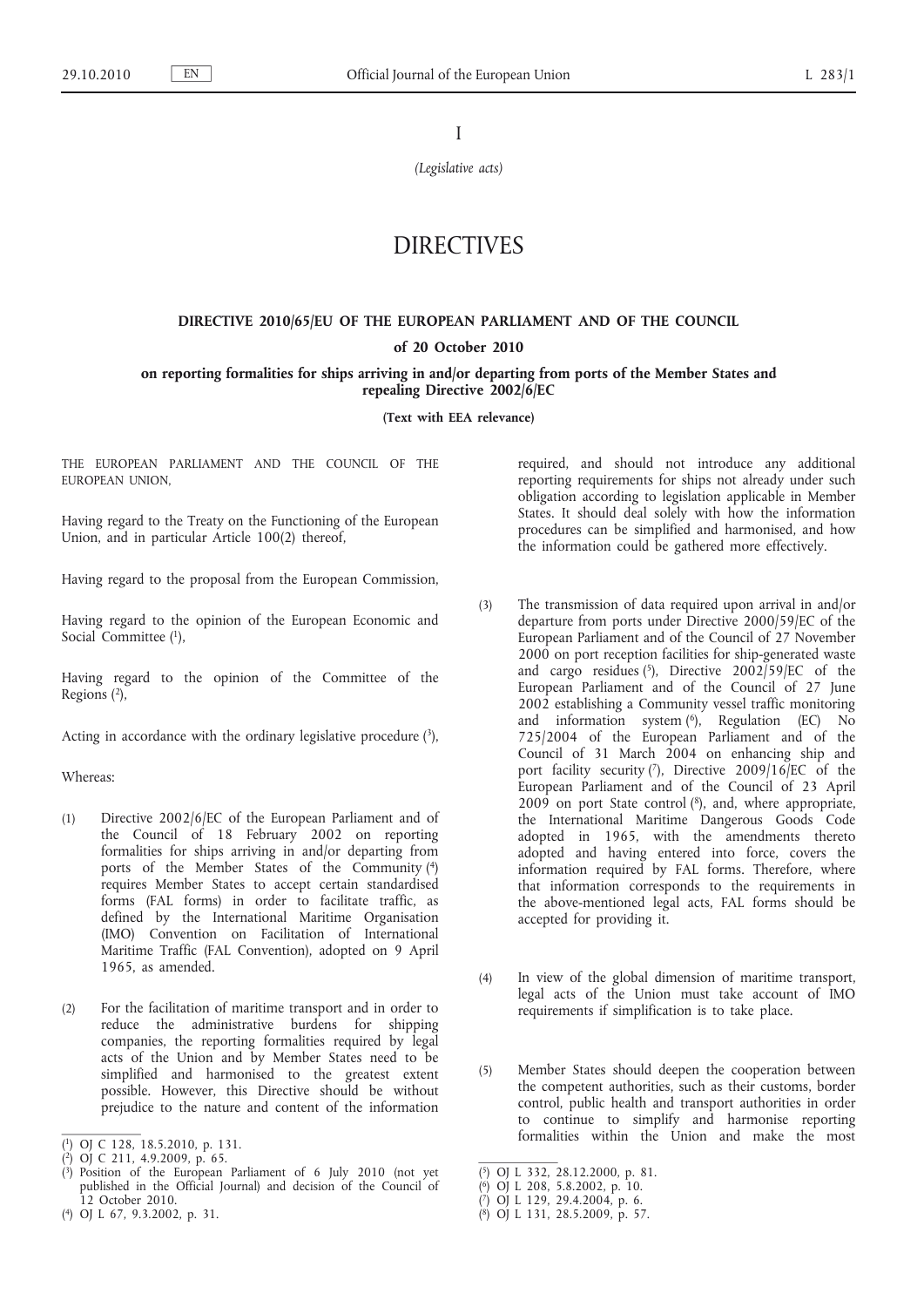I

*(Legislative acts)*

# DIRECTIVES

# **DIRECTIVE 2010/65/EU OF THE EUROPEAN PARLIAMENT AND OF THE COUNCIL**

#### **of 20 October 2010**

### **on reporting formalities for ships arriving in and/or departing from ports of the Member States and repealing Directive 2002/6/EC**

**(Text with EEA relevance)**

THE EUROPEAN PARLIAMENT AND THE COUNCIL OF THE EUROPEAN UNION,

Having regard to the Treaty on the Functioning of the European Union, and in particular Article 100(2) thereof,

Having regard to the proposal from the European Commission,

Having regard to the opinion of the European Economic and Social Committee (1),

Having regard to the opinion of the Committee of the Regions  $(2)$ ,

Acting in accordance with the ordinary legislative procedure  $(3)$ ,

Whereas:

- (1) Directive 2002/6/EC of the European Parliament and of the Council of 18 February 2002 on reporting formalities for ships arriving in and/or departing from ports of the Member States of the Community (4) requires Member States to accept certain standardised forms (FAL forms) in order to facilitate traffic, as defined by the International Maritime Organisation (IMO) Convention on Facilitation of International Maritime Traffic (FAL Convention), adopted on 9 April 1965, as amended.
- (2) For the facilitation of maritime transport and in order to reduce the administrative burdens for shipping companies, the reporting formalities required by legal acts of the Union and by Member States need to be simplified and harmonised to the greatest extent possible. However, this Directive should be without prejudice to the nature and content of the information

- ( 3) Position of the European Parliament of 6 July 2010 (not yet published in the Official Journal) and decision of the Council of 12 October 2010.
- ( 4) OJ L 67, 9.3.2002, p. 31.

required, and should not introduce any additional reporting requirements for ships not already under such obligation according to legislation applicable in Member States. It should deal solely with how the information procedures can be simplified and harmonised, and how the information could be gathered more effectively.

- (3) The transmission of data required upon arrival in and/or departure from ports under Directive 2000/59/EC of the European Parliament and of the Council of 27 November 2000 on port reception facilities for ship-generated waste and cargo residues  $(5)$ , Directive 2002/59/EC of the European Parliament and of the Council of 27 June 2002 establishing a Community vessel traffic monitoring and information system  $(6)$ , Regulation (EC) No 725/2004 of the European Parliament and of the Council of 31 March 2004 on enhancing ship and port facility security  $(7)$ , Directive 2009/16/EC of the European Parliament and of the Council of 23 April 2009 on port State control  $(^{8})$ , and, where appropriate, the International Maritime Dangerous Goods Code adopted in 1965, with the amendments thereto adopted and having entered into force, covers the information required by FAL forms. Therefore, where that information corresponds to the requirements in the above-mentioned legal acts, FAL forms should be accepted for providing it.
- (4) In view of the global dimension of maritime transport, legal acts of the Union must take account of IMO requirements if simplification is to take place.
- (5) Member States should deepen the cooperation between the competent authorities, such as their customs, border control, public health and transport authorities in order to continue to simplify and harmonise reporting formalities within the Union and make the most

<sup>(</sup> 1) OJ C 128, 18.5.2010, p. 131.

<sup>(</sup> 2) OJ C 211, 4.9.2009, p. 65.

<sup>(</sup> 5) OJ L 332, 28.12.2000, p. 81.

<sup>(</sup> 6) OJ L 208, 5.8.2002, p. 10.

<sup>(</sup> 7) OJ L 129, 29.4.2004, p. 6.

<sup>(</sup> 8) OJ L 131, 28.5.2009, p. 57.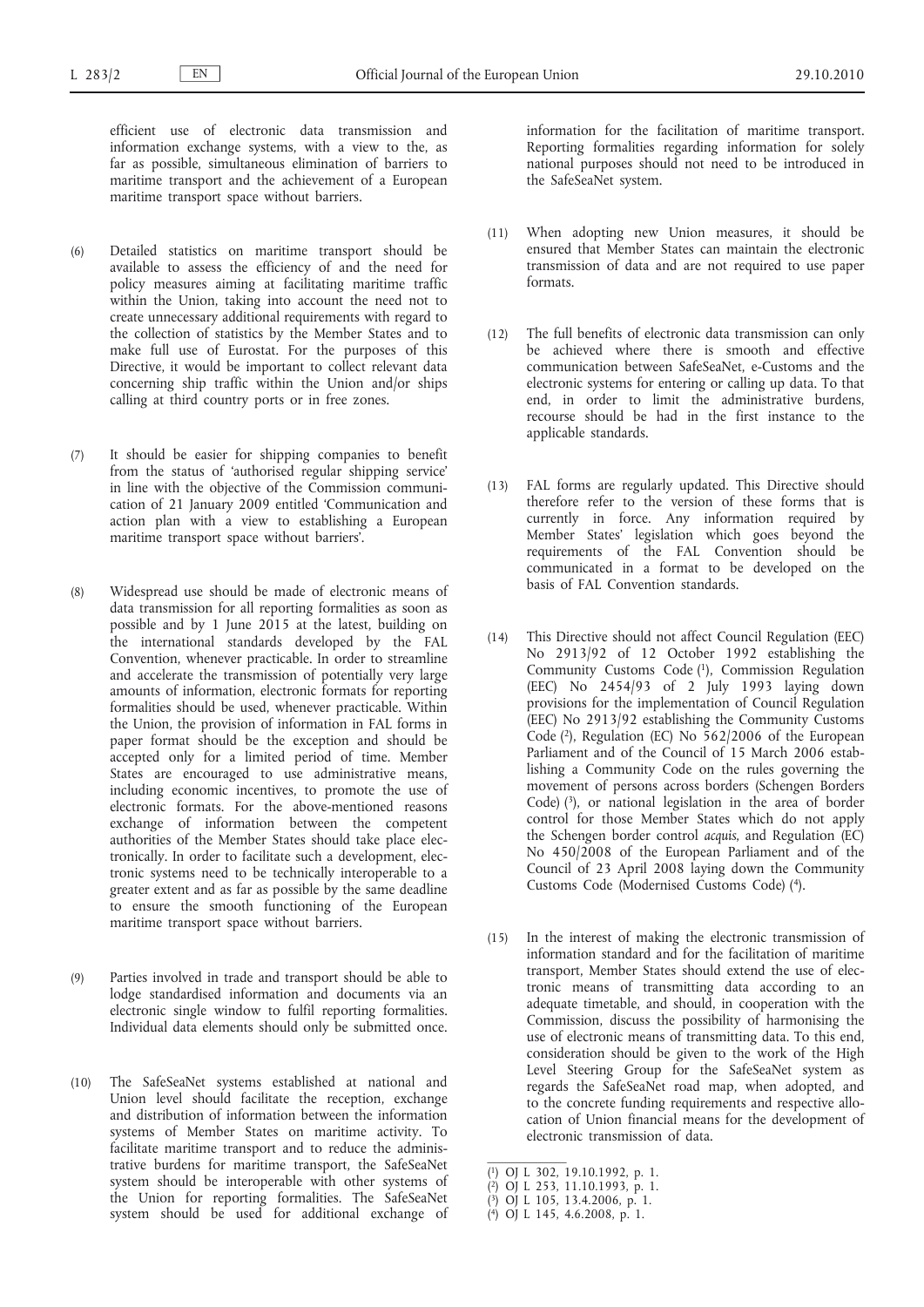efficient use of electronic data transmission and information exchange systems, with a view to the, as far as possible, simultaneous elimination of barriers to maritime transport and the achievement of a European maritime transport space without barriers.

- (6) Detailed statistics on maritime transport should be available to assess the efficiency of and the need for policy measures aiming at facilitating maritime traffic within the Union, taking into account the need not to create unnecessary additional requirements with regard to the collection of statistics by the Member States and to make full use of Eurostat. For the purposes of this Directive, it would be important to collect relevant data concerning ship traffic within the Union and/or ships calling at third country ports or in free zones.
- (7) It should be easier for shipping companies to benefit from the status of 'authorised regular shipping service' in line with the objective of the Commission communication of 21 January 2009 entitled 'Communication and action plan with a view to establishing a European maritime transport space without barriers'.
- (8) Widespread use should be made of electronic means of data transmission for all reporting formalities as soon as possible and by 1 June  $2015$  at the latest, building on the international standards developed by the FAL Convention, whenever practicable. In order to streamline and accelerate the transmission of potentially very large amounts of information, electronic formats for reporting formalities should be used, whenever practicable. Within the Union, the provision of information in FAL forms in paper format should be the exception and should be accepted only for a limited period of time. Member States are encouraged to use administrative means, including economic incentives, to promote the use of electronic formats. For the above-mentioned reasons exchange of information between the competent authorities of the Member States should take place electronically. In order to facilitate such a development, electronic systems need to be technically interoperable to a greater extent and as far as possible by the same deadline to ensure the smooth functioning of the European maritime transport space without barriers.
- (9) Parties involved in trade and transport should be able to lodge standardised information and documents via an electronic single window to fulfil reporting formalities. Individual data elements should only be submitted once.
- (10) The SafeSeaNet systems established at national and Union level should facilitate the reception, exchange and distribution of information between the information systems of Member States on maritime activity. To facilitate maritime transport and to reduce the administrative burdens for maritime transport, the SafeSeaNet system should be interoperable with other systems of the Union for reporting formalities. The SafeSeaNet system should be used for additional exchange of

information for the facilitation of maritime transport. Reporting formalities regarding information for solely national purposes should not need to be introduced in the SafeSeaNet system.

- (11) When adopting new Union measures, it should be ensured that Member States can maintain the electronic transmission of data and are not required to use paper formats.
- (12) The full benefits of electronic data transmission can only be achieved where there is smooth and effective communication between SafeSeaNet, e-Customs and the electronic systems for entering or calling up data. To that end, in order to limit the administrative burdens, recourse should be had in the first instance to the applicable standards.
- (13) FAL forms are regularly updated. This Directive should therefore refer to the version of these forms that is currently in force. Any information required by Member States' legislation which goes beyond the requirements of the FAL Convention should be communicated in a format to be developed on the basis of FAL Convention standards.
- (14) This Directive should not affect Council Regulation (EEC) No 2913/92 of 12 October 1992 establishing the Community Customs Code  $(1)$ , Commission Regulation (EEC) No 2454/93 of 2 July 1993 laying down provisions for the implementation of Council Regulation (EEC) No 2913/92 establishing the Community Customs Code (2), Regulation (EC) No 562/2006 of the European Parliament and of the Council of 15 March 2006 establishing a Community Code on the rules governing the movement of persons across borders (Schengen Borders Code) (3), or national legislation in the area of border control for those Member States which do not apply the Schengen border control *acquis*, and Regulation (EC) No 450/2008 of the European Parliament and of the Council of 23 April 2008 laying down the Community Customs Code (Modernised Customs Code) (4).
- (15) In the interest of making the electronic transmission of information standard and for the facilitation of maritime transport, Member States should extend the use of electronic means of transmitting data according to an adequate timetable, and should, in cooperation with the Commission, discuss the possibility of harmonising the use of electronic means of transmitting data. To this end, consideration should be given to the work of the High Level Steering Group for the SafeSeaNet system as regards the SafeSeaNet road map, when adopted, and to the concrete funding requirements and respective allocation of Union financial means for the development of electronic transmission of data.

<sup>(</sup> 1) OJ L 302, 19.10.1992, p. 1.

<sup>(</sup> 2) OJ L 253, 11.10.1993, p. 1.

<sup>(</sup> 3) OJ L 105, 13.4.2006, p. 1.

<sup>(</sup> 4) OJ L 145, 4.6.2008, p. 1.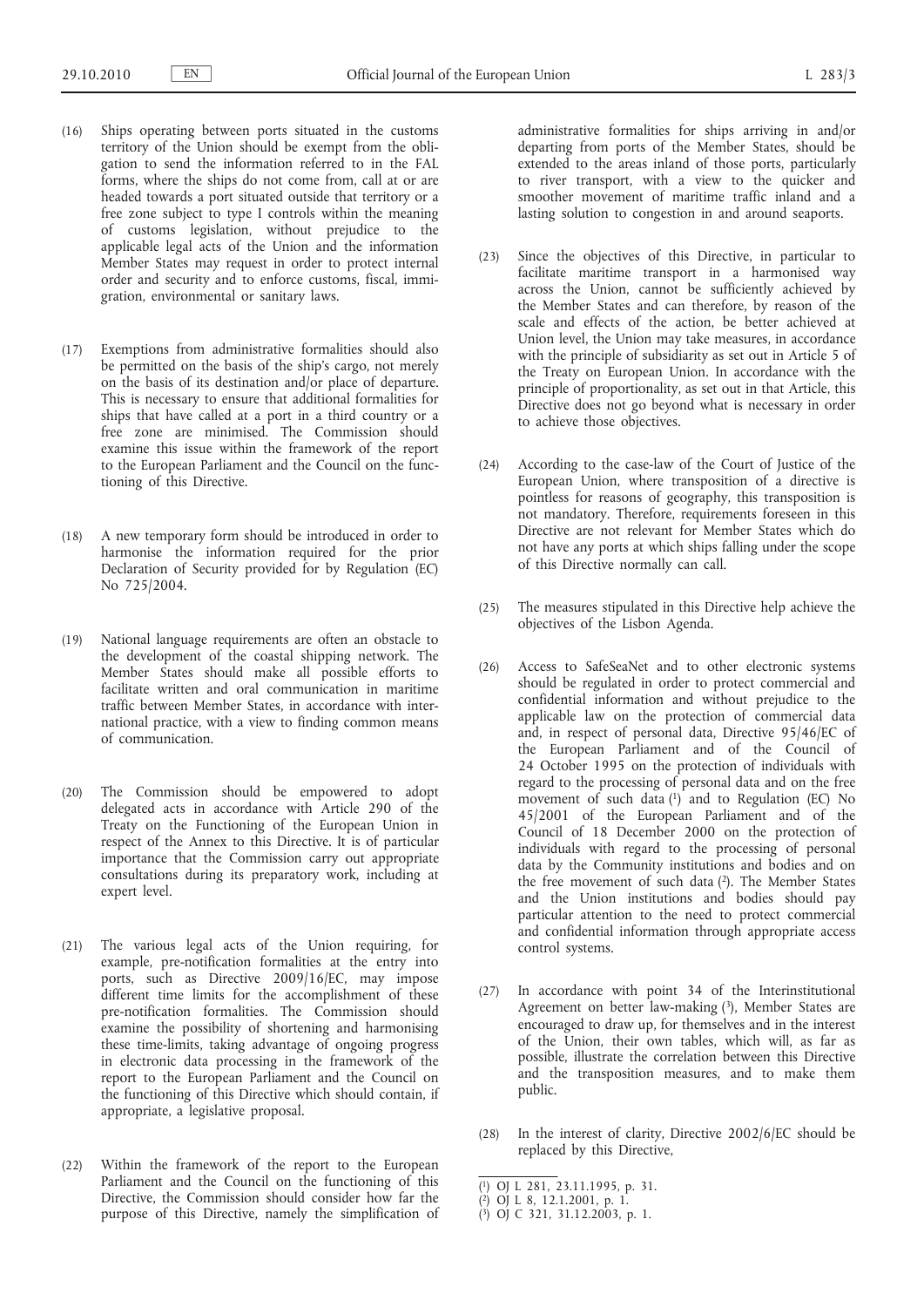- (16) Ships operating between ports situated in the customs territory of the Union should be exempt from the obligation to send the information referred to in the FAL forms, where the ships do not come from, call at or are headed towards a port situated outside that territory or a free zone subject to type I controls within the meaning of customs legislation, without prejudice to the applicable legal acts of the Union and the information Member States may request in order to protect internal order and security and to enforce customs, fiscal, immigration, environmental or sanitary laws.
- (17) Exemptions from administrative formalities should also be permitted on the basis of the ship's cargo, not merely on the basis of its destination and/or place of departure. This is necessary to ensure that additional formalities for ships that have called at a port in a third country or a free zone are minimised. The Commission should examine this issue within the framework of the report to the European Parliament and the Council on the functioning of this Directive.
- (18) A new temporary form should be introduced in order to harmonise the information required for the prior Declaration of Security provided for by Regulation (EC) No 725/2004.
- (19) National language requirements are often an obstacle to the development of the coastal shipping network. The Member States should make all possible efforts to facilitate written and oral communication in maritime traffic between Member States, in accordance with international practice, with a view to finding common means of communication.
- (20) The Commission should be empowered to adopt delegated acts in accordance with Article 290 of the Treaty on the Functioning of the European Union in respect of the Annex to this Directive. It is of particular importance that the Commission carry out appropriate consultations during its preparatory work, including at expert level.
- (21) The various legal acts of the Union requiring, for example, pre-notification formalities at the entry into ports, such as Directive 2009/16/EC, may impose different time limits for the accomplishment of these pre-notification formalities. The Commission should examine the possibility of shortening and harmonising these time-limits, taking advantage of ongoing progress in electronic data processing in the framework of the report to the European Parliament and the Council on the functioning of this Directive which should contain, if appropriate, a legislative proposal.
- (22) Within the framework of the report to the European Parliament and the Council on the functioning of this Directive, the Commission should consider how far the purpose of this Directive, namely the simplification of

administrative formalities for ships arriving in and/or departing from ports of the Member States, should be extended to the areas inland of those ports, particularly to river transport, with a view to the quicker and smoother movement of maritime traffic inland and a lasting solution to congestion in and around seaports.

- (23) Since the objectives of this Directive, in particular to facilitate maritime transport in a harmonised way across the Union, cannot be sufficiently achieved by the Member States and can therefore, by reason of the scale and effects of the action, be better achieved at Union level, the Union may take measures, in accordance with the principle of subsidiarity as set out in Article 5 of the Treaty on European Union. In accordance with the principle of proportionality, as set out in that Article, this Directive does not go beyond what is necessary in order to achieve those objectives.
- (24) According to the case-law of the Court of Justice of the European Union, where transposition of a directive is pointless for reasons of geography, this transposition is not mandatory. Therefore, requirements foreseen in this Directive are not relevant for Member States which do not have any ports at which ships falling under the scope of this Directive normally can call.
- (25) The measures stipulated in this Directive help achieve the objectives of the Lisbon Agenda.
- (26) Access to SafeSeaNet and to other electronic systems should be regulated in order to protect commercial and confidential information and without prejudice to the applicable law on the protection of commercial data and, in respect of personal data, Directive 95/46/EC of the European Parliament and of the Council of 24 October 1995 on the protection of individuals with regard to the processing of personal data and on the free movement of such data (1) and to Regulation (EC) No 45/2001 of the European Parliament and of the Council of 18 December 2000 on the protection of individuals with regard to the processing of personal data by the Community institutions and bodies and on the free movement of such data  $(2)$ . The Member States and the Union institutions and bodies should pay particular attention to the need to protect commercial and confidential information through appropriate access control systems.
- (27) In accordance with point 34 of the Interinstitutional Agreement on better law-making (3), Member States are encouraged to draw up, for themselves and in the interest of the Union, their own tables, which will, as far as possible, illustrate the correlation between this Directive and the transposition measures, and to make them public.
- (28) In the interest of clarity, Directive 2002/6/EC should be replaced by this Directive,

<sup>(</sup> 1) OJ L 281, 23.11.1995, p. 31.

<sup>(</sup> 2) OJ L 8, 12.1.2001, p. 1.

<sup>(</sup> 3) OJ C 321, 31.12.2003, p. 1.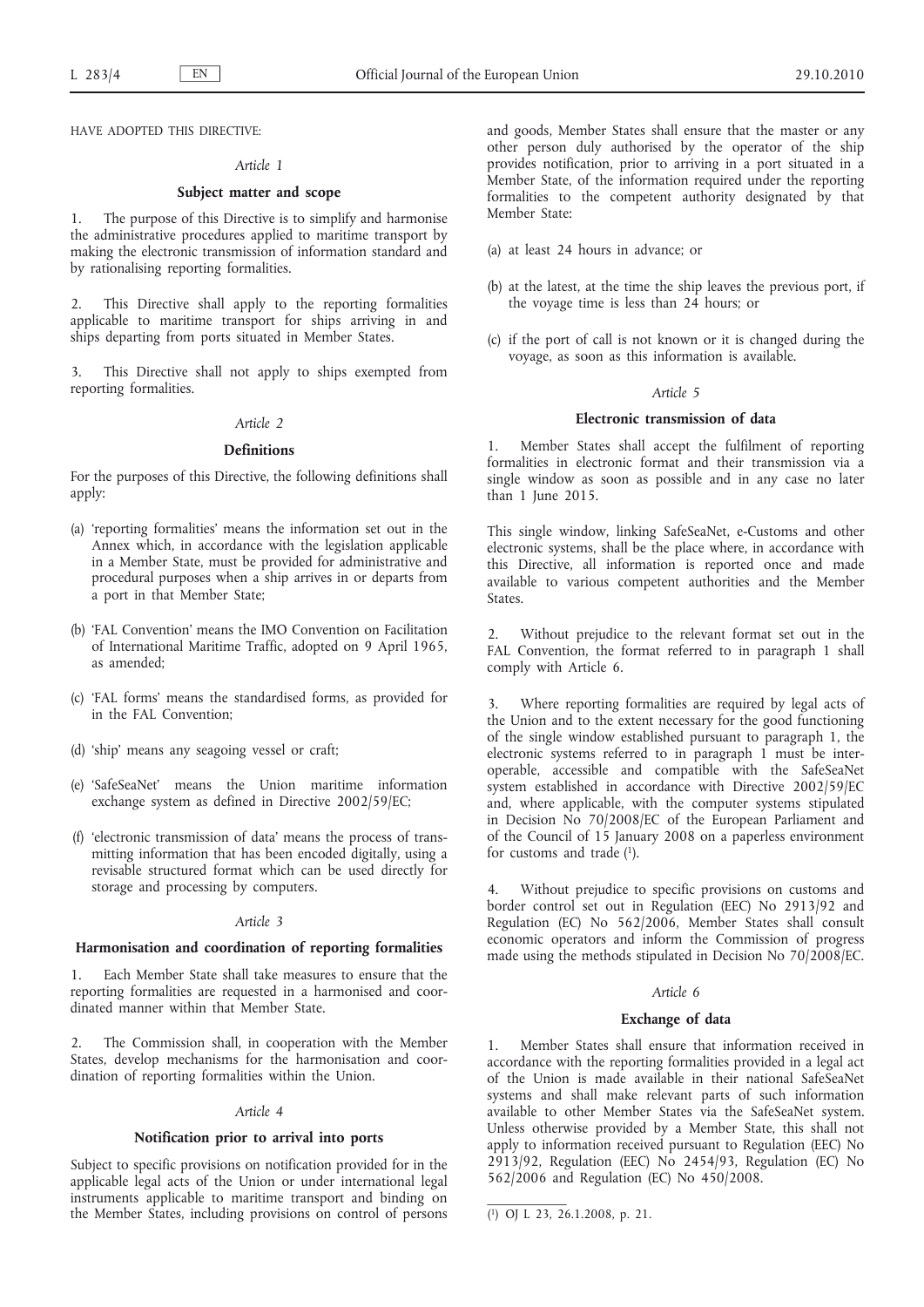HAVE ADOPTED THIS DIRECTIVE:

## *Article 1*

### **Subject matter and scope**

1. The purpose of this Directive is to simplify and harmonise the administrative procedures applied to maritime transport by making the electronic transmission of information standard and by rationalising reporting formalities.

2. This Directive shall apply to the reporting formalities applicable to maritime transport for ships arriving in and ships departing from ports situated in Member States.

This Directive shall not apply to ships exempted from reporting formalities.

# *Article 2*

### **Definitions**

For the purposes of this Directive, the following definitions shall apply:

- (a) 'reporting formalities' means the information set out in the Annex which, in accordance with the legislation applicable in a Member State, must be provided for administrative and procedural purposes when a ship arrives in or departs from a port in that Member State;
- (b) 'FAL Convention' means the IMO Convention on Facilitation of International Maritime Traffic, adopted on 9 April 1965, as amended;
- (c) 'FAL forms' means the standardised forms, as provided for in the FAL Convention;
- (d) 'ship' means any seagoing vessel or craft;
- (e) 'SafeSeaNet' means the Union maritime information exchange system as defined in Directive 2002/59/EC;
- (f) 'electronic transmission of data' means the process of transmitting information that has been encoded digitally, using a revisable structured format which can be used directly for storage and processing by computers.

#### *Article 3*

#### **Harmonisation and coordination of reporting formalities**

Each Member State shall take measures to ensure that the reporting formalities are requested in a harmonised and coordinated manner within that Member State.

2. The Commission shall, in cooperation with the Member States, develop mechanisms for the harmonisation and coordination of reporting formalities within the Union.

# *Article 4*

# **Notification prior to arrival into ports**

Subject to specific provisions on notification provided for in the applicable legal acts of the Union or under international legal instruments applicable to maritime transport and binding on the Member States, including provisions on control of persons

and goods, Member States shall ensure that the master or any other person duly authorised by the operator of the ship provides notification, prior to arriving in a port situated in a Member State, of the information required under the reporting formalities to the competent authority designated by that Member State:

(a) at least 24 hours in advance; or

- (b) at the latest, at the time the ship leaves the previous port, if the voyage time is less than 24 hours; or
- (c) if the port of call is not known or it is changed during the voyage, as soon as this information is available.

### *Article 5*

### **Electronic transmission of data**

1. Member States shall accept the fulfilment of reporting formalities in electronic format and their transmission via a single window as soon as possible and in any case no later than 1 June 2015.

This single window, linking SafeSeaNet, e-Customs and other electronic systems, shall be the place where, in accordance with this Directive, all information is reported once and made available to various competent authorities and the Member **States**.

2. Without prejudice to the relevant format set out in the FAL Convention, the format referred to in paragraph 1 shall comply with Article 6.

Where reporting formalities are required by legal acts of the Union and to the extent necessary for the good functioning of the single window established pursuant to paragraph 1, the electronic systems referred to in paragraph 1 must be interoperable, accessible and compatible with the SafeSeaNet system established in accordance with Directive 2002/59/EC and, where applicable, with the computer systems stipulated in Decision No 70/2008/EC of the European Parliament and of the Council of 15 January 2008 on a paperless environment for customs and trade  $(1)$ .

4. Without prejudice to specific provisions on customs and border control set out in Regulation (EEC) No 2913/92 and Regulation (EC) No 562/2006, Member States shall consult economic operators and inform the Commission of progress made using the methods stipulated in Decision No 70/2008/EC.

### *Article 6*

#### **Exchange of data**

1. Member States shall ensure that information received in accordance with the reporting formalities provided in a legal act of the Union is made available in their national SafeSeaNet systems and shall make relevant parts of such information available to other Member States via the SafeSeaNet system. Unless otherwise provided by a Member State, this shall not apply to information received pursuant to Regulation (EEC) No 2913/92, Regulation (EEC) No 2454/93, Regulation (EC) No 562/2006 and Regulation (EC) No 450/2008.

<sup>(</sup> 1) OJ L 23, 26.1.2008, p. 21.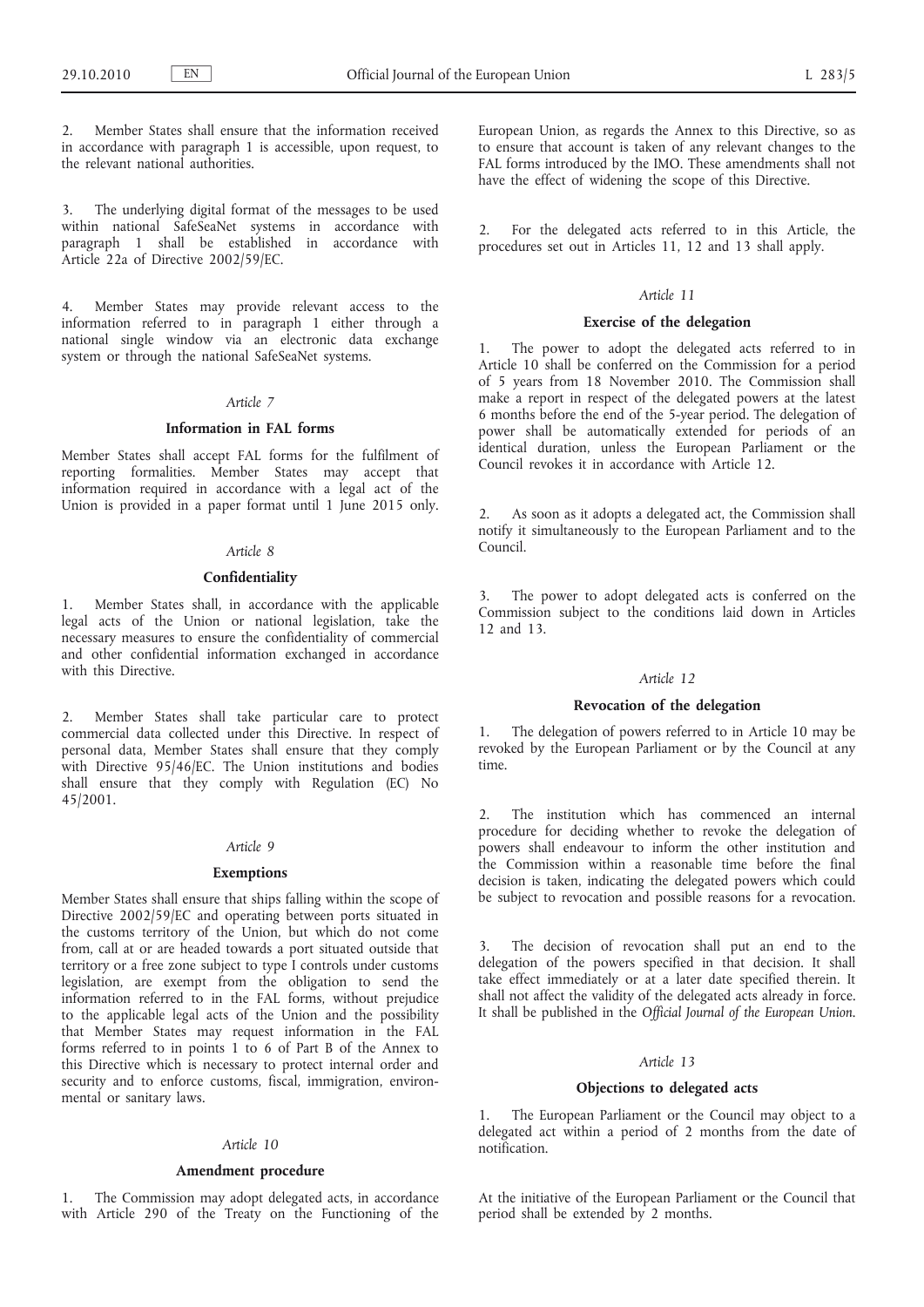2. Member States shall ensure that the information received in accordance with paragraph 1 is accessible, upon request, to the relevant national authorities.

3. The underlying digital format of the messages to be used within national SafeSeaNet systems in accordance with paragraph 1 shall be established in accordance with Article 22a of Directive 2002/59/EC.

4. Member States may provide relevant access to the information referred to in paragraph 1 either through a national single window via an electronic data exchange system or through the national SafeSeaNet systems.

### *Article 7*

# **Information in FAL forms**

Member States shall accept FAL forms for the fulfilment of reporting formalities. Member States may accept that information required in accordance with a legal act of the Union is provided in a paper format until 1 June 2015 only.

# *Article 8*

#### **Confidentiality**

1. Member States shall, in accordance with the applicable legal acts of the Union or national legislation, take the necessary measures to ensure the confidentiality of commercial and other confidential information exchanged in accordance with this Directive.

2. Member States shall take particular care to protect commercial data collected under this Directive. In respect of personal data, Member States shall ensure that they comply with Directive 95/46/EC. The Union institutions and bodies shall ensure that they comply with Regulation (EC) No 45/2001.

# *Article 9*

# **Exemptions**

Member States shall ensure that ships falling within the scope of Directive 2002/59/EC and operating between ports situated in the customs territory of the Union, but which do not come from, call at or are headed towards a port situated outside that territory or a free zone subject to type I controls under customs legislation, are exempt from the obligation to send the information referred to in the FAL forms, without prejudice to the applicable legal acts of the Union and the possibility that Member States may request information in the FAL forms referred to in points 1 to 6 of Part B of the Annex to this Directive which is necessary to protect internal order and security and to enforce customs, fiscal, immigration, environmental or sanitary laws.

#### *Article 10*

#### **Amendment procedure**

The Commission may adopt delegated acts, in accordance with Article 290 of the Treaty on the Functioning of the European Union, as regards the Annex to this Directive, so as to ensure that account is taken of any relevant changes to the FAL forms introduced by the IMO. These amendments shall not have the effect of widening the scope of this Directive.

2. For the delegated acts referred to in this Article, the procedures set out in Articles 11, 12 and 13 shall apply.

### *Article 11*

#### **Exercise of the delegation**

1. The power to adopt the delegated acts referred to in Article 10 shall be conferred on the Commission for a period of 5 years from 18 November 2010. The Commission shall make a report in respect of the delegated powers at the latest 6 months before the end of the 5-year period. The delegation of power shall be automatically extended for periods of an identical duration, unless the European Parliament or the Council revokes it in accordance with Article 12.

2. As soon as it adopts a delegated act, the Commission shall notify it simultaneously to the European Parliament and to the Council.

3. The power to adopt delegated acts is conferred on the Commission subject to the conditions laid down in Articles 12 and 13.

#### *Article 12*

### **Revocation of the delegation**

1. The delegation of powers referred to in Article 10 may be revoked by the European Parliament or by the Council at any time.

The institution which has commenced an internal procedure for deciding whether to revoke the delegation of powers shall endeavour to inform the other institution and the Commission within a reasonable time before the final decision is taken, indicating the delegated powers which could be subject to revocation and possible reasons for a revocation.

3. The decision of revocation shall put an end to the delegation of the powers specified in that decision. It shall take effect immediately or at a later date specified therein. It shall not affect the validity of the delegated acts already in force. It shall be published in the *Official Journal of the European Union*.

#### *Article 13*

#### **Objections to delegated acts**

1. The European Parliament or the Council may object to a delegated act within a period of 2 months from the date of notification.

At the initiative of the European Parliament or the Council that period shall be extended by 2 months.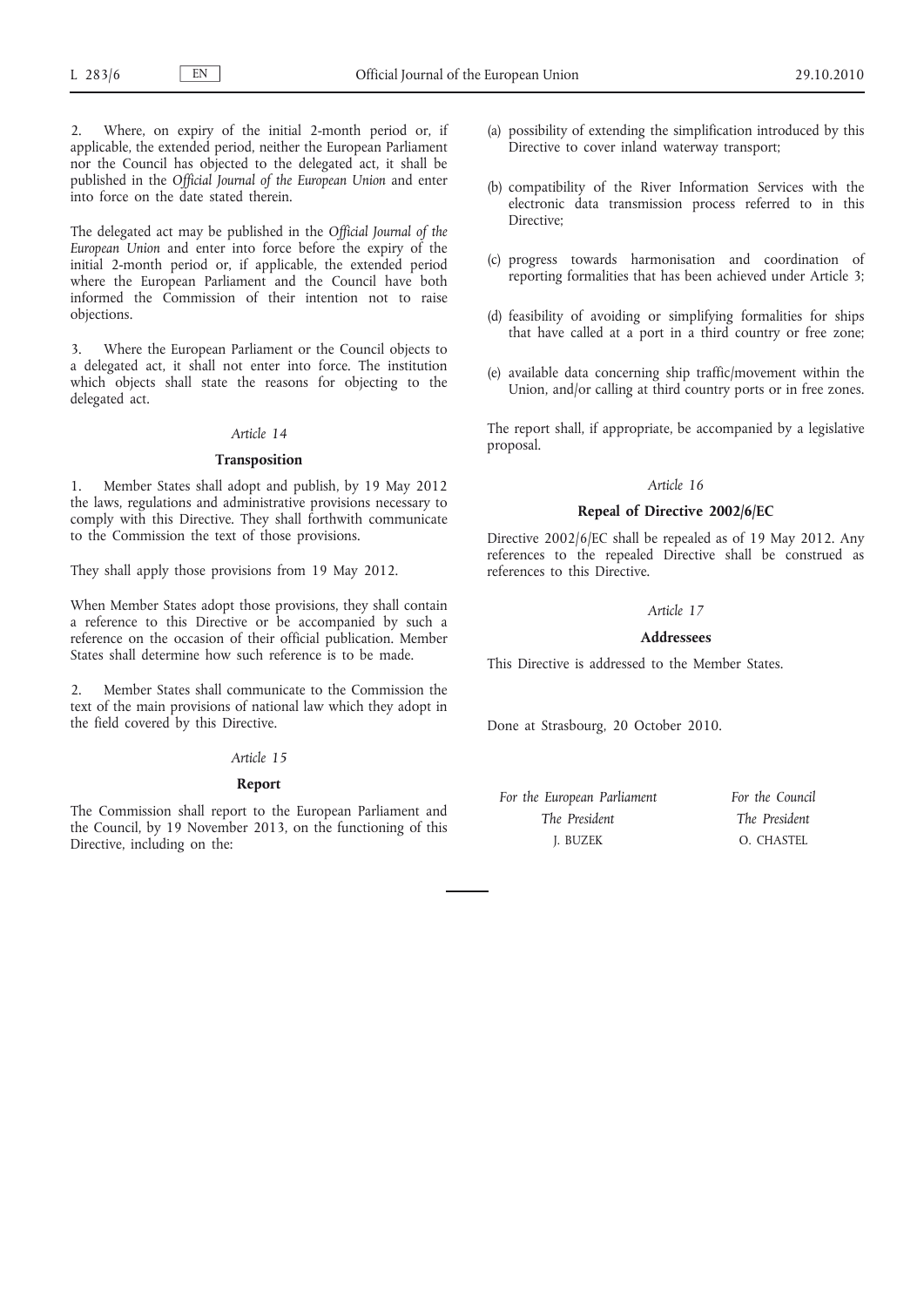2. Where, on expiry of the initial 2-month period or, if applicable, the extended period, neither the European Parliament nor the Council has objected to the delegated act, it shall be published in the *Official Journal of the European Union* and enter into force on the date stated therein.

The delegated act may be published in the *Official Journal of the European Union* and enter into force before the expiry of the initial 2-month period or, if applicable, the extended period where the European Parliament and the Council have both informed the Commission of their intention not to raise objections.

3. Where the European Parliament or the Council objects to a delegated act, it shall not enter into force. The institution which objects shall state the reasons for objecting to the delegated act.

# *Article 14*

### **Transposition**

1. Member States shall adopt and publish, by 19 May 2012 the laws, regulations and administrative provisions necessary to comply with this Directive. They shall forthwith communicate to the Commission the text of those provisions.

They shall apply those provisions from 19 May 2012.

When Member States adopt those provisions, they shall contain a reference to this Directive or be accompanied by such a reference on the occasion of their official publication. Member States shall determine how such reference is to be made.

2. Member States shall communicate to the Commission the text of the main provisions of national law which they adopt in the field covered by this Directive.

#### *Article 15*

#### **Report**

The Commission shall report to the European Parliament and the Council, by 19 November 2013, on the functioning of this Directive, including on the:

- (a) possibility of extending the simplification introduced by this Directive to cover inland waterway transport;
- (b) compatibility of the River Information Services with the electronic data transmission process referred to in this Directive;
- (c) progress towards harmonisation and coordination of reporting formalities that has been achieved under Article 3;
- (d) feasibility of avoiding or simplifying formalities for ships that have called at a port in a third country or free zone;
- (e) available data concerning ship traffic/movement within the Union, and/or calling at third country ports or in free zones.

The report shall, if appropriate, be accompanied by a legislative proposal.

### *Article 16*

#### **Repeal of Directive 2002/6/EC**

Directive 2002/6/EC shall be repealed as of 19 May 2012. Any references to the repealed Directive shall be construed as references to this Directive.

### *Article 17*

# **Addressees**

This Directive is addressed to the Member States.

Done at Strasbourg, 20 October 2010.

| For the European Parliament | For the Council |
|-----------------------------|-----------------|
| The President               | The President   |
| J. BUZEK                    | O. CHASTEL      |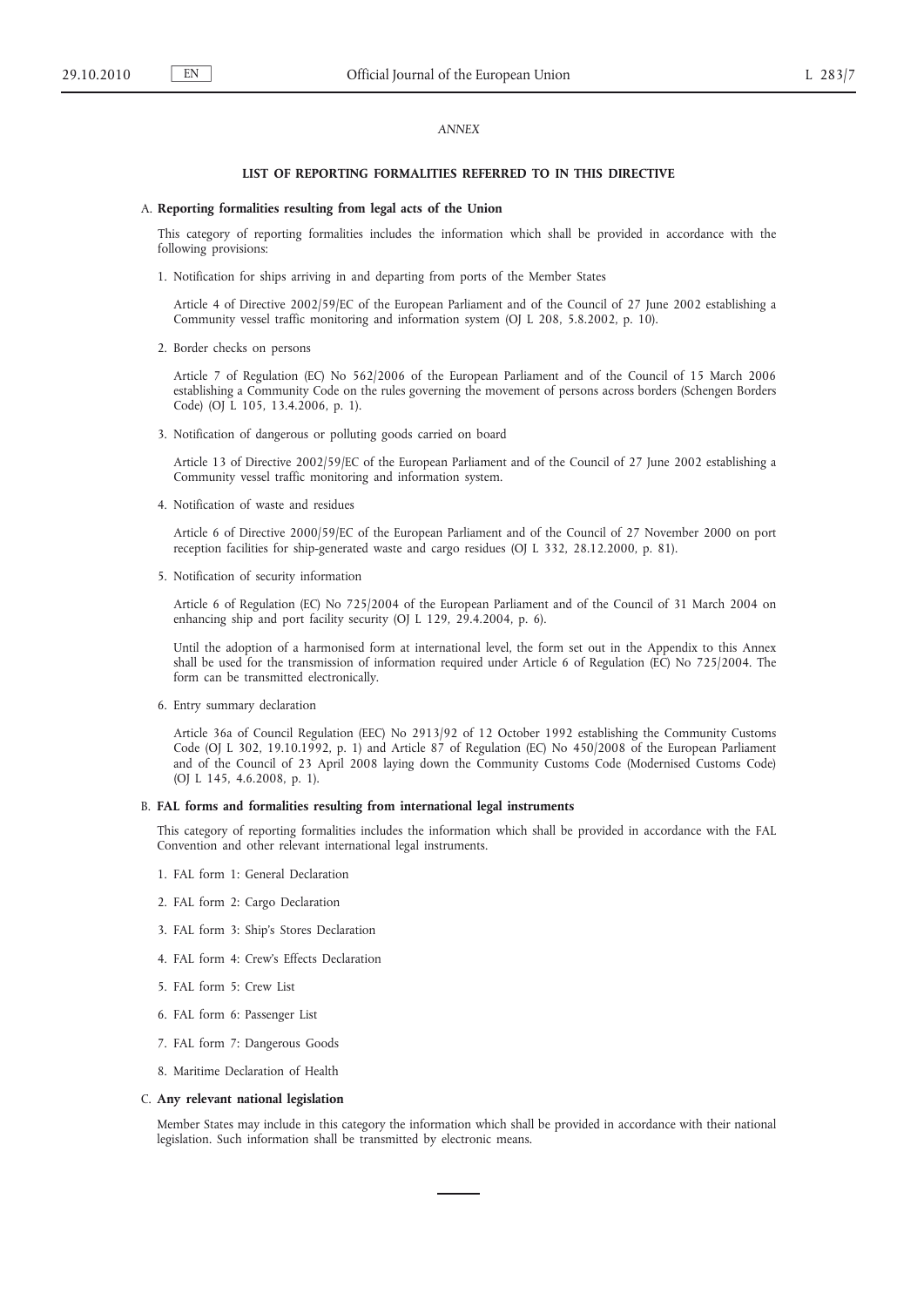#### *ANNEX*

#### **LIST OF REPORTING FORMALITIES REFERRED TO IN THIS DIRECTIVE**

#### A. **Reporting formalities resulting from legal acts of the Union**

This category of reporting formalities includes the information which shall be provided in accordance with the following provisions:

1. Notification for ships arriving in and departing from ports of the Member States

Article 4 of Directive 2002/59/EC of the European Parliament and of the Council of 27 June 2002 establishing a Community vessel traffic monitoring and information system (OJ L 208, 5.8.2002, p. 10).

2. Border checks on persons

Article 7 of Regulation (EC) No 562/2006 of the European Parliament and of the Council of 15 March 2006 establishing a Community Code on the rules governing the movement of persons across borders (Schengen Borders Code) (OJ L 105, 13.4.2006, p. 1).

3. Notification of dangerous or polluting goods carried on board

Article 13 of Directive 2002/59/EC of the European Parliament and of the Council of 27 June 2002 establishing a Community vessel traffic monitoring and information system.

4. Notification of waste and residues

Article 6 of Directive 2000/59/EC of the European Parliament and of the Council of 27 November 2000 on port reception facilities for ship-generated waste and cargo residues (OJ L 332, 28.12.2000, p. 81).

5. Notification of security information

Article 6 of Regulation (EC) No 725/2004 of the European Parliament and of the Council of 31 March 2004 on enhancing ship and port facility security (OJ L 129, 29.4.2004, p. 6).

Until the adoption of a harmonised form at international level, the form set out in the Appendix to this Annex shall be used for the transmission of information required under Article 6 of Regulation (EC) No 725/2004. The form can be transmitted electronically.

6. Entry summary declaration

Article 36a of Council Regulation (EEC) No 2913/92 of 12 October 1992 establishing the Community Customs Code (OJ L 302, 19.10.1992, p. 1) and Article 87 of Regulation (EC) No 450/2008 of the European Parliament and of the Council of 23 April 2008 laying down the Community Customs Code (Modernised Customs Code) (OJ L 145, 4.6.2008, p. 1).

### B. **FAL forms and formalities resulting from international legal instruments**

This category of reporting formalities includes the information which shall be provided in accordance with the FAL Convention and other relevant international legal instruments.

- 1. FAL form 1: General Declaration
- 2. FAL form 2: Cargo Declaration
- 3. FAL form 3: Ship's Stores Declaration
- 4. FAL form 4: Crew's Effects Declaration
- 5. FAL form 5: Crew List
- 6. FAL form 6: Passenger List
- 7. FAL form 7: Dangerous Goods
- 8. Maritime Declaration of Health

#### C. **Any relevant national legislation**

Member States may include in this category the information which shall be provided in accordance with their national legislation. Such information shall be transmitted by electronic means.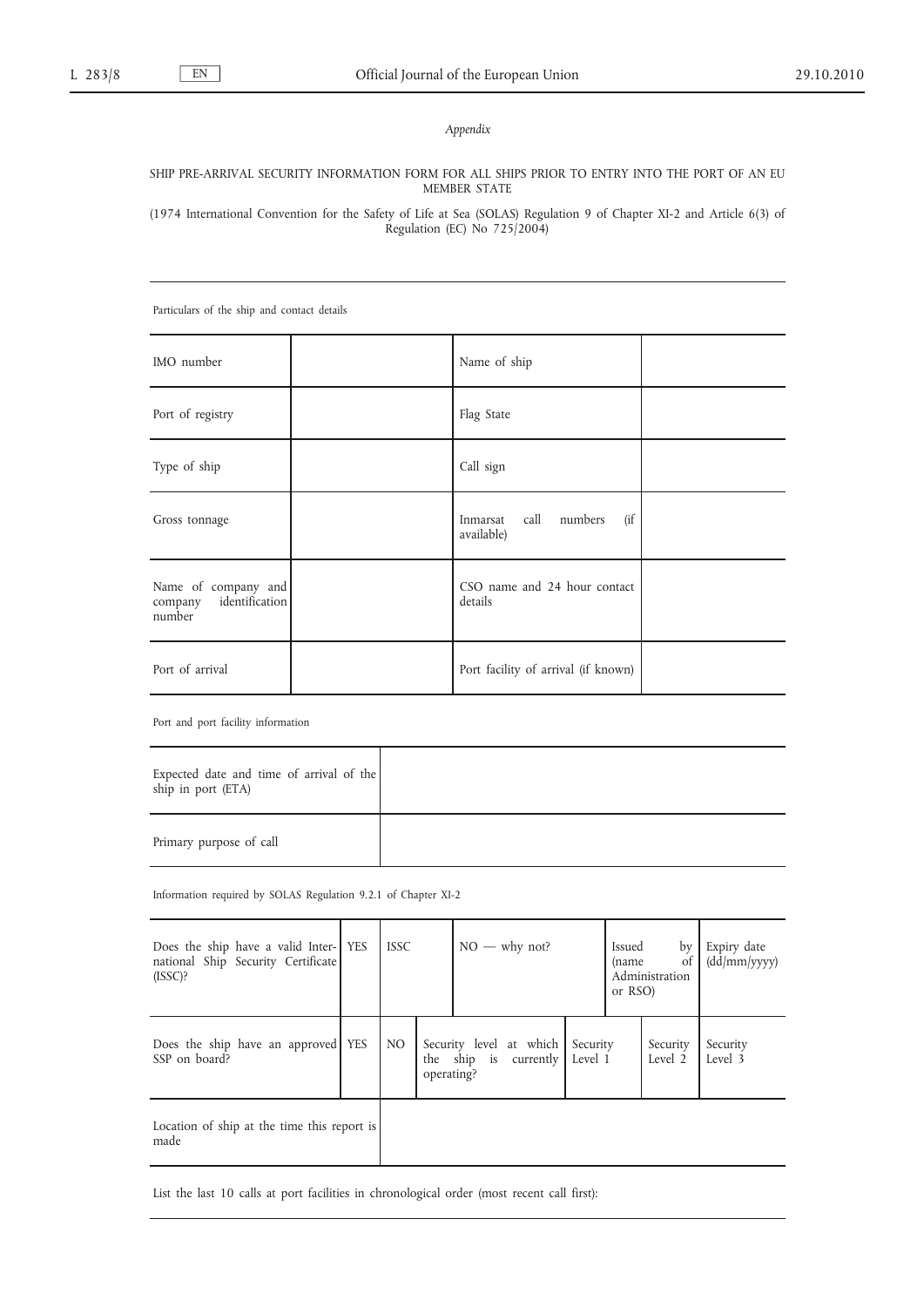# *Appendix*

### SHIP PRE-ARRIVAL SECURITY INFORMATION FORM FOR ALL SHIPS PRIOR TO ENTRY INTO THE PORT OF AN EU MEMBER STATE

(1974 International Convention for the Safety of Life at Sea (SOLAS) Regulation 9 of Chapter XI-2 and Article 6(3) of Regulation (EC) No 725/2004)

Particulars of the ship and contact details

| IMO number                                                 | Name of ship                                 |  |
|------------------------------------------------------------|----------------------------------------------|--|
| Port of registry                                           | Flag State                                   |  |
| Type of ship                                               | Call sign                                    |  |
| Gross tonnage                                              | Inmarsat call numbers<br>(i f)<br>available) |  |
| Name of company and<br>identification<br>company<br>number | CSO name and 24 hour contact<br>details      |  |
| Port of arrival                                            | Port facility of arrival (if known)          |  |

Port and port facility information

| Expected date and time of arrival of the<br>ship in port (ETA) |  |
|----------------------------------------------------------------|--|
| Primary purpose of call                                        |  |

Information required by SOLAS Regulation 9.2.1 of Chapter XI-2

| Does the ship have a valid Inter-   YES<br>national Ship Security Certificate<br>(ISSC)? | <b>ISSC</b> | $NO$ — why not?                                                        |  |          | Issued<br>by<br>(name<br>0t<br>Administration<br>or RSO) |                     | Expiry date<br>$\frac{dd}{m}$ (yyyy) |
|------------------------------------------------------------------------------------------|-------------|------------------------------------------------------------------------|--|----------|----------------------------------------------------------|---------------------|--------------------------------------|
| Does the ship have an approved YES<br>SSP on board?                                      | NO.         | Security level at which<br>the ship is currently Level 1<br>operating? |  | Security |                                                          | Security<br>Level 2 | Security<br>Level 3                  |
| Location of ship at the time this report is<br>made                                      |             |                                                                        |  |          |                                                          |                     |                                      |

List the last 10 calls at port facilities in chronological order (most recent call first):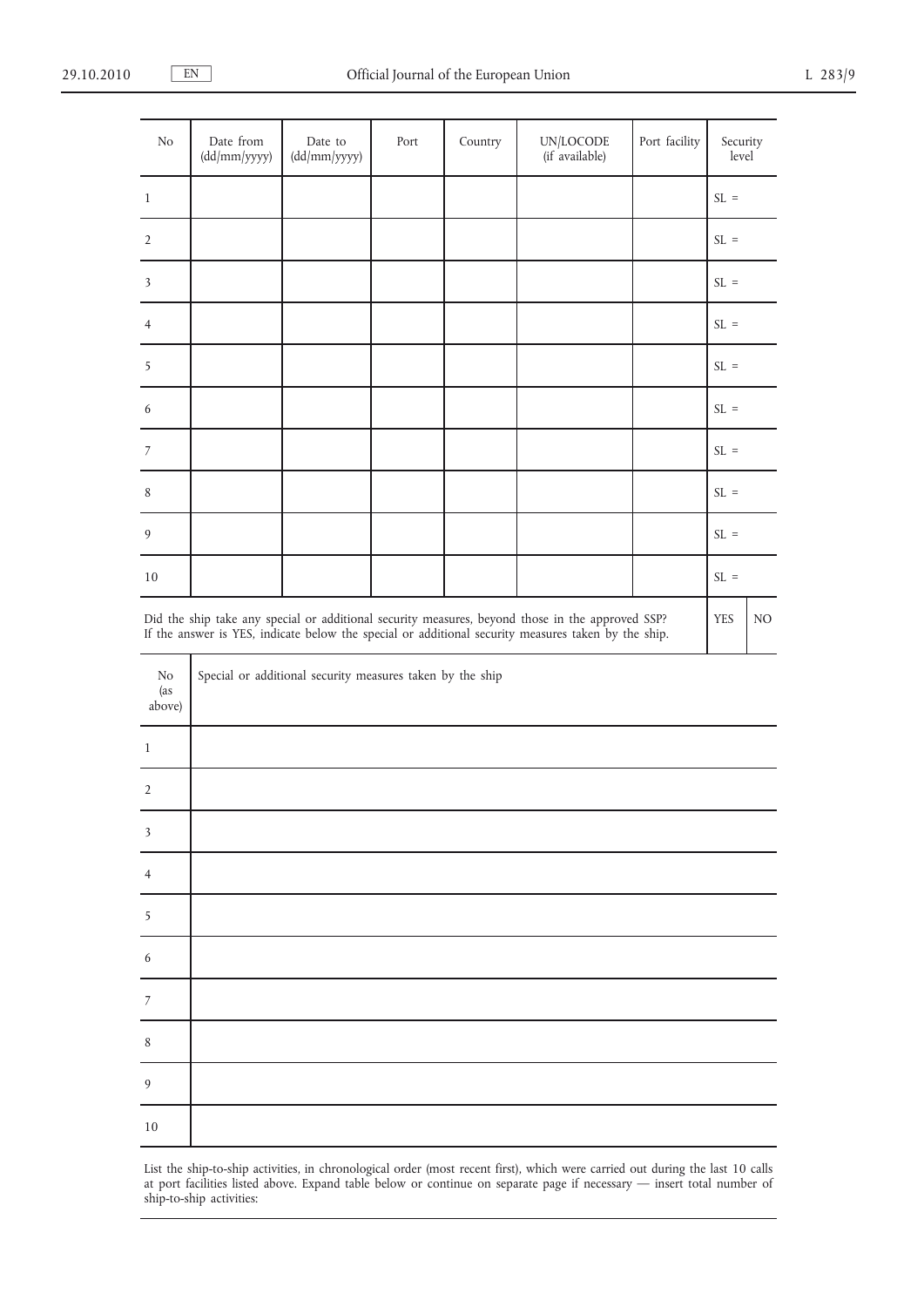5

6

7

| N <sub>o</sub>                                                                                                                                                                                                        | Date from<br>(dd/mm/yyyy)                                 | Date to<br>(dd/mm/yyyy) | Port | Country | UN/LOCODE<br>(if available) | Port facility | Security<br>level |     |  |
|-----------------------------------------------------------------------------------------------------------------------------------------------------------------------------------------------------------------------|-----------------------------------------------------------|-------------------------|------|---------|-----------------------------|---------------|-------------------|-----|--|
| $\mathbf{1}$                                                                                                                                                                                                          |                                                           |                         |      |         |                             |               | $SL =$            |     |  |
| $\overline{2}$                                                                                                                                                                                                        |                                                           |                         |      |         |                             |               | $SL =$            |     |  |
| 3                                                                                                                                                                                                                     |                                                           |                         |      |         |                             |               | $SL =$            |     |  |
| $\overline{4}$                                                                                                                                                                                                        |                                                           |                         |      |         |                             |               | $SL =$            |     |  |
| 5                                                                                                                                                                                                                     |                                                           |                         |      |         |                             |               |                   |     |  |
| 6                                                                                                                                                                                                                     | $SL =$                                                    |                         |      |         |                             |               |                   |     |  |
| 7                                                                                                                                                                                                                     |                                                           |                         |      |         |                             |               | $SL =$            |     |  |
| $\,8\,$                                                                                                                                                                                                               |                                                           |                         |      |         |                             |               | $SL =$            |     |  |
| 9                                                                                                                                                                                                                     |                                                           |                         |      |         |                             |               | $SL =$            |     |  |
| $10\,$                                                                                                                                                                                                                |                                                           |                         |      |         |                             |               | $SL =$            |     |  |
| Did the ship take any special or additional security measures, beyond those in the approved SSP?<br><b>YES</b><br>If the answer is YES, indicate below the special or additional security measures taken by the ship. |                                                           |                         |      |         |                             |               |                   | NO. |  |
| No<br>(as<br>above)                                                                                                                                                                                                   | Special or additional security measures taken by the ship |                         |      |         |                             |               |                   |     |  |
| 1                                                                                                                                                                                                                     |                                                           |                         |      |         |                             |               |                   |     |  |
| $\overline{2}$                                                                                                                                                                                                        |                                                           |                         |      |         |                             |               |                   |     |  |
| 3                                                                                                                                                                                                                     |                                                           |                         |      |         |                             |               |                   |     |  |
| $\overline{4}$                                                                                                                                                                                                        |                                                           |                         |      |         |                             |               |                   |     |  |

8 9 10 List the ship-to-ship activities, in chronological order (most recent first), which were carried out during the last 10 calls

at port facilities listed above. Expand table below or continue on separate page if necessary — insert total number of ship-to-ship activities: